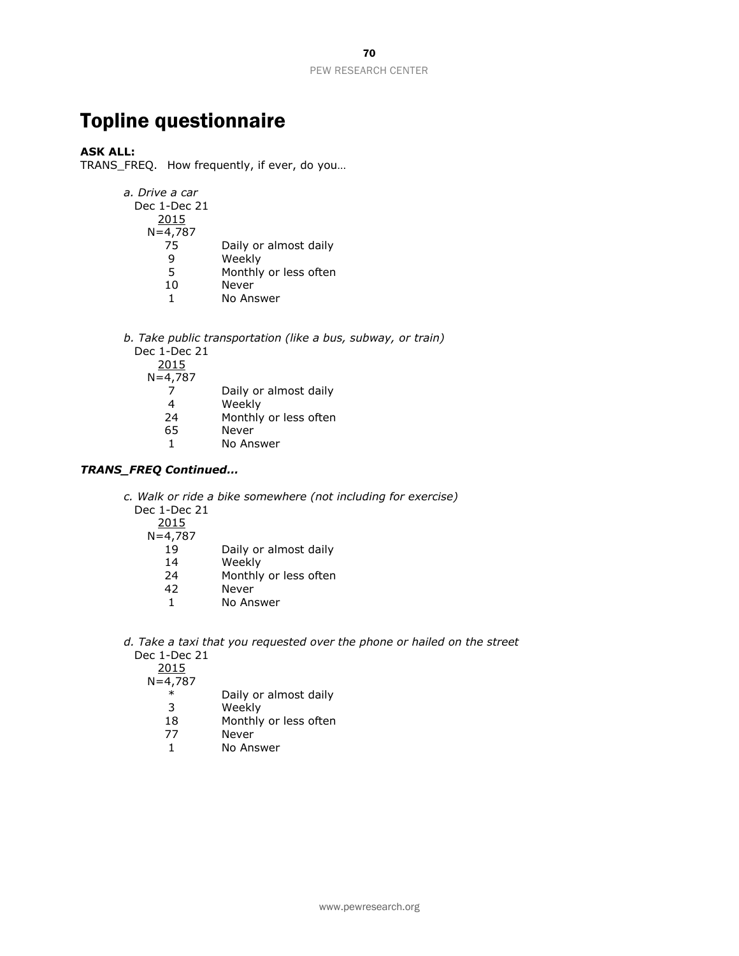# Topline questionnaire

## **ASK ALL:**

TRANS\_FREQ. How frequently, if ever, do you…

| a. Drive a car<br>Dec 1-Dec 21 |                       |
|--------------------------------|-----------------------|
| 2015                           |                       |
| $N = 4,787$                    |                       |
| 75                             | Daily or almost daily |
| q                              | Weekly                |
| 5                              | Monthly or less often |
| 10                             | Never                 |
| 1                              | No Answer             |
|                                |                       |

*b. Take public transportation (like a bus, subway, or train)* Dec 1-Dec 21

2015 N=4,787

|  | Daily or almost daily |  |
|--|-----------------------|--|
|  |                       |  |

- 4 Weekly
- 24 Monthly or less often
- 65 Never
- 1 No Answer

## *TRANS\_FREQ Continued…*

*c. Walk or ride a bike somewhere (not including for exercise)*

Dec 1-Dec 21

2015

- N=4,787
	- 19 Daily or almost daily
	- 14 Weekly
	- 24 Monthly or less often
	- 42 Never
	- 1 No Answer
- *d. Take a taxi that you requested over the phone or hailed on the street* Dec 1-Dec 21

2015

 $N=4,787$ 

- \* Daily or almost daily
- 3 Weekly
- 18 Monthly or less often
- 77 Never
- 1 No Answer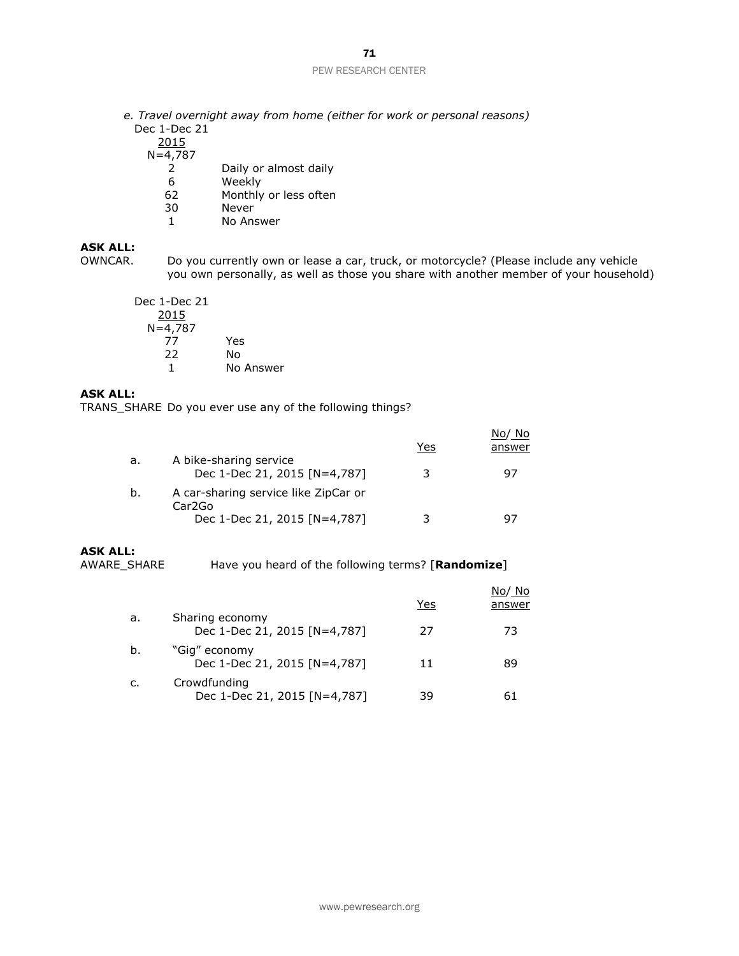# 71

#### PEW RESEARCH CENTER

*e. Travel overnight away from home (either for work or personal reasons)* Dec 1-Dec 21

2015

 $N=4,787$ 

- 2 Daily or almost daily
- 6 Weekly
- 62 Monthly or less often
- 30 Never
- 1 No Answer

## **ASK ALL:**

OWNCAR. Do you currently own or lease a car, truck, or motorcycle? (Please include any vehicle you own personally, as well as those you share with another member of your household)

Dec 1-Dec 21 2015 N=4,787 77 Yes 22 No 1 No Answer

## **ASK ALL:**

TRANS\_SHARE Do you ever use any of the following things?

|    |                                                        | Yes | No/No<br>answer |
|----|--------------------------------------------------------|-----|-----------------|
| a. | A bike-sharing service<br>Dec 1-Dec 21, 2015 [N=4,787] | 3   | 97              |
| b. | A car-sharing service like ZipCar or<br>Car2Go         |     |                 |
|    | Dec 1-Dec 21, 2015 [N=4,787]                           |     | 97              |

#### **ASK ALL:**

AWARE\_SHARE Have you heard of the following terms? [**Randomize**]

|    |                                                 | Yes | No/No<br>answer |
|----|-------------------------------------------------|-----|-----------------|
| a. | Sharing economy<br>Dec 1-Dec 21, 2015 [N=4,787] | 27  | 73              |
| b. | "Gig" economy<br>Dec 1-Dec 21, 2015 [N=4,787]   | 11  | 89              |
| c. | Crowdfunding<br>Dec 1-Dec 21, 2015 [N=4,787]    | 39  | 61              |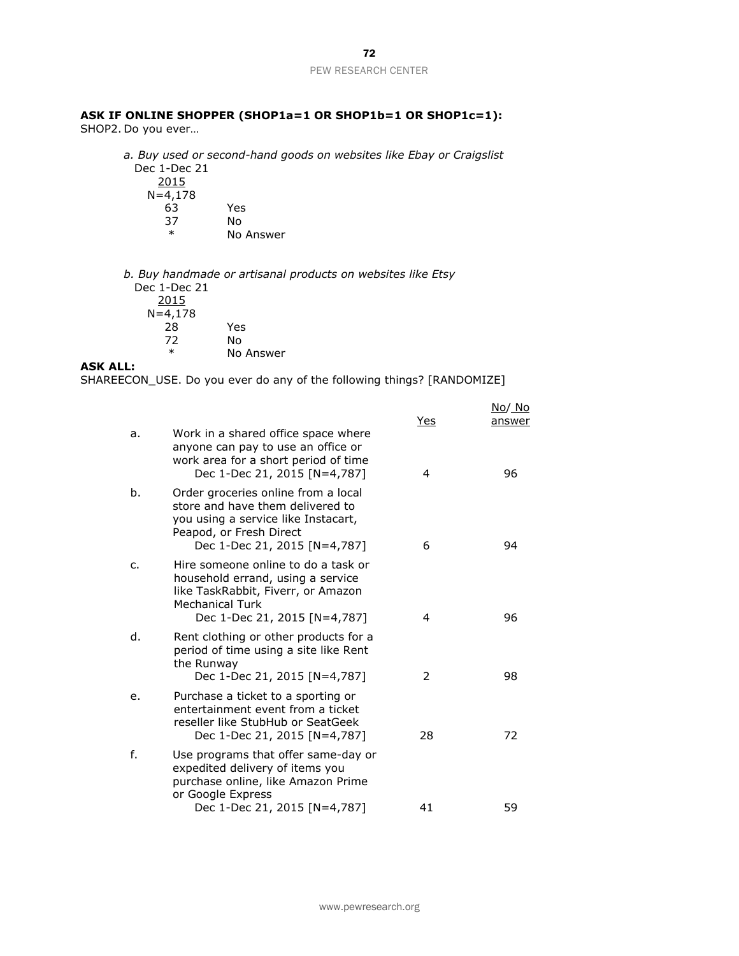### **ASK IF ONLINE SHOPPER (SHOP1a=1 OR SHOP1b=1 OR SHOP1c=1):**

SHOP2. Do you ever…

*a. Buy used or second-hand goods on websites like Ebay or Craigslist* Dec 1-Dec 21

2015 N=4,178 63 Yes 37 No No Answer

*b. Buy handmade or artisanal products on websites like Etsy* Dec 1-Dec 21 2015  $N=4,178$ 28 Yes 72 No \* No Answer

#### **ASK ALL:**

SHAREECON\_USE. Do you ever do any of the following things? [RANDOMIZE]

|               |                                                                                                                                                                           | Yes | No/ No<br>answer |
|---------------|---------------------------------------------------------------------------------------------------------------------------------------------------------------------------|-----|------------------|
| a.            | Work in a shared office space where<br>anyone can pay to use an office or<br>work area for a short period of time<br>Dec 1-Dec 21, 2015 [N=4,787]                         | 4   | 96               |
| b.            | Order groceries online from a local<br>store and have them delivered to<br>you using a service like Instacart,<br>Peapod, or Fresh Direct<br>Dec 1-Dec 21, 2015 [N=4,787] | 6   | 94               |
| $C_{\bullet}$ | Hire someone online to do a task or<br>household errand, using a service<br>like TaskRabbit, Fiverr, or Amazon<br><b>Mechanical Turk</b><br>Dec 1-Dec 21, 2015 [N=4,787]  | 4   | 96               |
| d.            | Rent clothing or other products for a<br>period of time using a site like Rent<br>the Runway<br>Dec 1-Dec 21, 2015 [N=4,787]                                              | 2   | 98               |
| e.            | Purchase a ticket to a sporting or<br>entertainment event from a ticket<br>reseller like StubHub or SeatGeek<br>Dec 1-Dec 21, 2015 [N=4,787]                              | 28  | 72               |
| f.            | Use programs that offer same-day or<br>expedited delivery of items you<br>purchase online, like Amazon Prime<br>or Google Express                                         |     |                  |
|               | Dec 1-Dec 21, 2015 [N=4,787]                                                                                                                                              | 41  | 59               |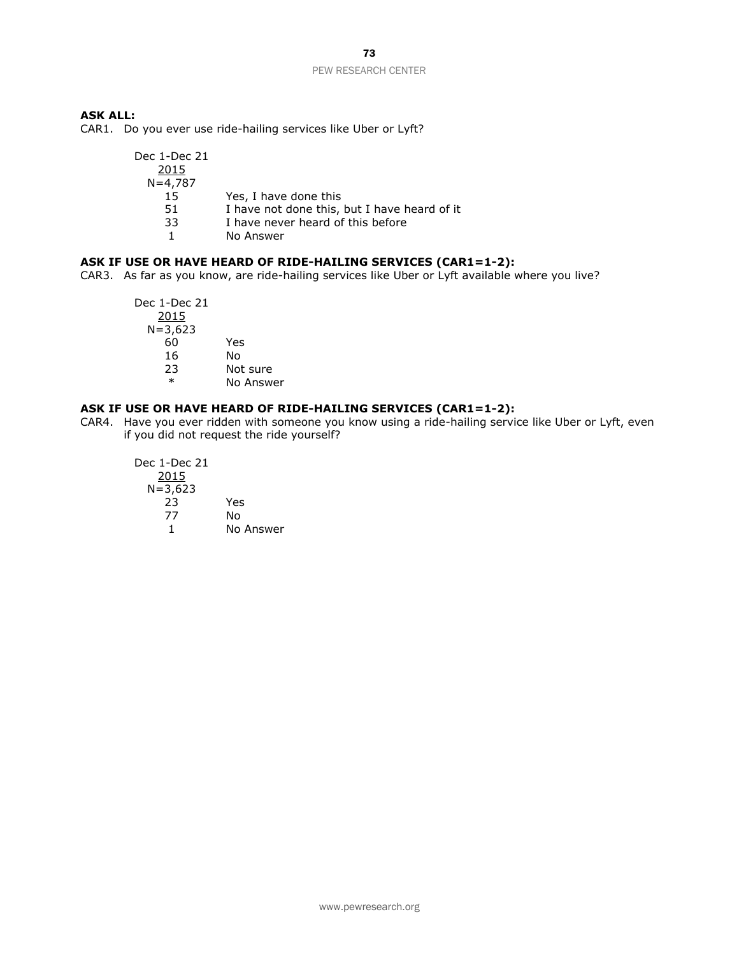#### **ASK ALL:**

CAR1. Do you ever use ride-hailing services like Uber or Lyft?

| Dec 1-Dec 21 |                                              |
|--------------|----------------------------------------------|
| 2015         |                                              |
| $N = 4,787$  |                                              |
| 15           | Yes, I have done this                        |
| 51           | I have not done this, but I have heard of it |
| 33           | I have never heard of this before            |
|              | No Answer                                    |

#### **ASK IF USE OR HAVE HEARD OF RIDE-HAILING SERVICES (CAR1=1-2):**

CAR3. As far as you know, are ride-hailing services like Uber or Lyft available where you live?

Dec 1-Dec 21 2015 N=3,623 60 Yes 16 No 23 Not sure \* No Answer

#### **ASK IF USE OR HAVE HEARD OF RIDE-HAILING SERVICES (CAR1=1-2):**

CAR4. Have you ever ridden with someone you know using a ride-hailing service like Uber or Lyft, even if you did not request the ride yourself?

Dec 1-Dec 21 2015  $N=3,623$ 23 Yes No 1 No Answer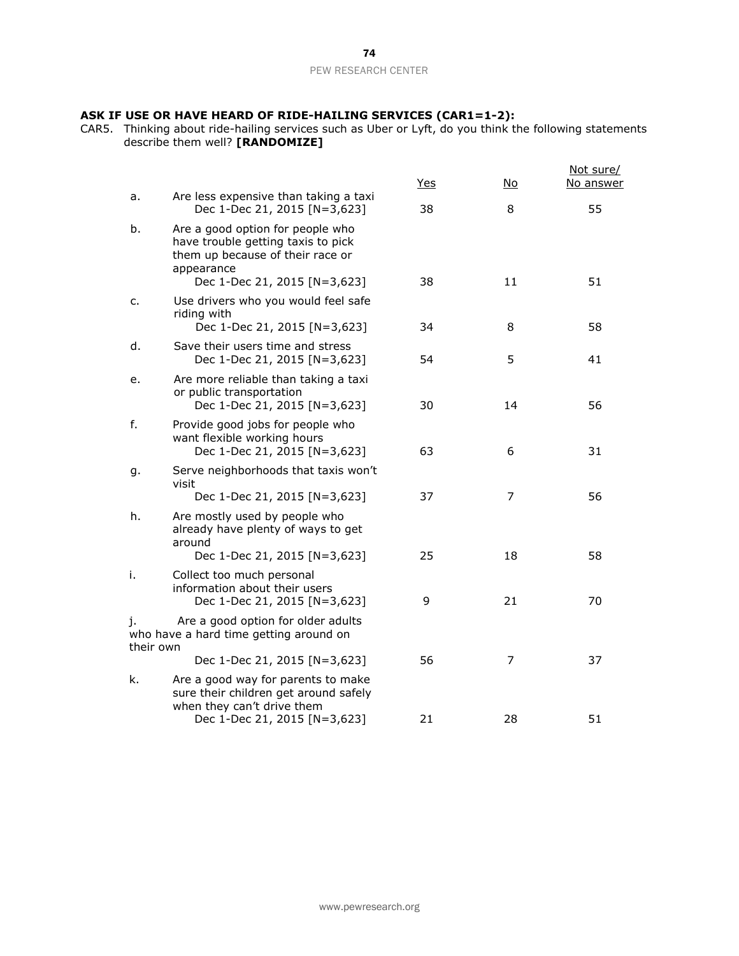#### **ASK IF USE OR HAVE HEARD OF RIDE-HAILING SERVICES (CAR1=1-2):**

CAR5. Thinking about ride-hailing services such as Uber or Lyft, do you think the following statements describe them well? **[RANDOMIZE]**

|                 |                                                                                                                                                          | <u>Yes</u> | No.      | Not sure/<br>No answer |
|-----------------|----------------------------------------------------------------------------------------------------------------------------------------------------------|------------|----------|------------------------|
| a.              | Are less expensive than taking a taxi<br>Dec 1-Dec 21, 2015 [N=3,623]                                                                                    | 38         | 8        | 55                     |
| b.              | Are a good option for people who<br>have trouble getting taxis to pick<br>them up because of their race or<br>appearance<br>Dec 1-Dec 21, 2015 [N=3,623] | 38         | 11       | 51                     |
| c.              | Use drivers who you would feel safe<br>riding with                                                                                                       | 34         | 8        | 58                     |
| d.              | Dec 1-Dec 21, 2015 [N=3,623]<br>Save their users time and stress<br>Dec 1-Dec 21, 2015 [N=3,623]                                                         | 54         | 5        | 41                     |
| е.              | Are more reliable than taking a taxi<br>or public transportation<br>Dec 1-Dec 21, 2015 [N=3,623]                                                         | 30         | 14       | 56                     |
| f.              | Provide good jobs for people who<br>want flexible working hours<br>Dec 1-Dec 21, 2015 [N=3,623]                                                          | 63         | 6        | 31                     |
| g.              | Serve neighborhoods that taxis won't<br>visit<br>Dec 1-Dec 21, 2015 [N=3,623]                                                                            | 37         | 7        | 56                     |
| h.              | Are mostly used by people who<br>already have plenty of ways to get<br>around                                                                            |            |          |                        |
| i.              | Dec 1-Dec 21, 2015 [N=3,623]<br>Collect too much personal<br>information about their users<br>Dec 1-Dec 21, 2015 [N=3,623]                               | 25<br>9    | 18<br>21 | 58<br>70               |
| J.<br>their own | Are a good option for older adults<br>who have a hard time getting around on                                                                             |            |          |                        |
|                 | Dec 1-Dec 21, 2015 [N=3,623]                                                                                                                             | 56         | 7        | 37                     |
| k.              | Are a good way for parents to make<br>sure their children get around safely<br>when they can't drive them                                                |            |          |                        |
|                 | Dec 1-Dec 21, 2015 [N=3,623]                                                                                                                             | 21         | 28       | 51                     |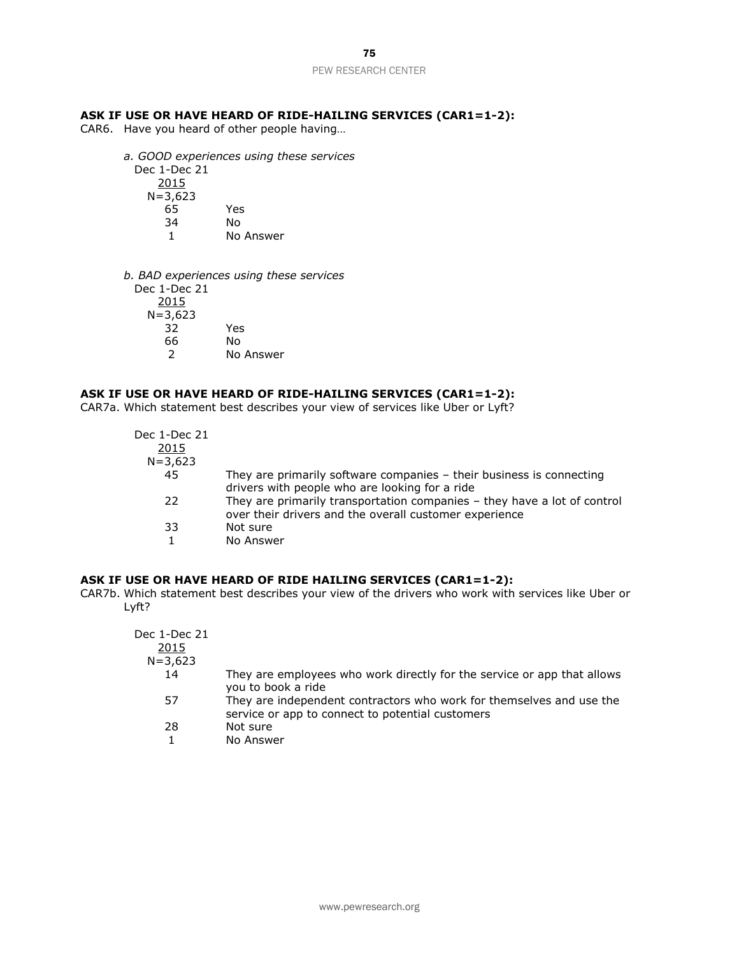## **ASK IF USE OR HAVE HEARD OF RIDE-HAILING SERVICES (CAR1=1-2):**

CAR6. Have you heard of other people having…

- *a. GOOD experiences using these services* Dec 1-Dec 21 2015  $N=3,623$ 65 Yes 34 No 1 No Answer
- *b. BAD experiences using these services* Dec 1-Dec 21 2015  $N=3,623$ 32 Yes 66 No 2 No Answer

## **ASK IF USE OR HAVE HEARD OF RIDE-HAILING SERVICES (CAR1=1-2):**

CAR7a. Which statement best describes your view of services like Uber or Lyft?

| Dec 1-Dec 21 |                                                                                                                                    |
|--------------|------------------------------------------------------------------------------------------------------------------------------------|
| 2015         |                                                                                                                                    |
| $N = 3,623$  |                                                                                                                                    |
| 45           | They are primarily software companies $-$ their business is connecting<br>drivers with people who are looking for a ride           |
| 22           | They are primarily transportation companies - they have a lot of control<br>over their drivers and the overall customer experience |
| 33           | Not sure                                                                                                                           |
|              | No Answer                                                                                                                          |

#### **ASK IF USE OR HAVE HEARD OF RIDE HAILING SERVICES (CAR1=1-2):**

CAR7b. Which statement best describes your view of the drivers who work with services like Uber or Lyft?

| Dec 1-Dec 21<br>2015<br>$N = 3,623$ |                                                                                                                          |
|-------------------------------------|--------------------------------------------------------------------------------------------------------------------------|
| 14                                  | They are employees who work directly for the service or app that allows<br>you to book a ride                            |
| 57                                  | They are independent contractors who work for themselves and use the<br>service or app to connect to potential customers |
| 28                                  | Not sure                                                                                                                 |
|                                     | No Answer                                                                                                                |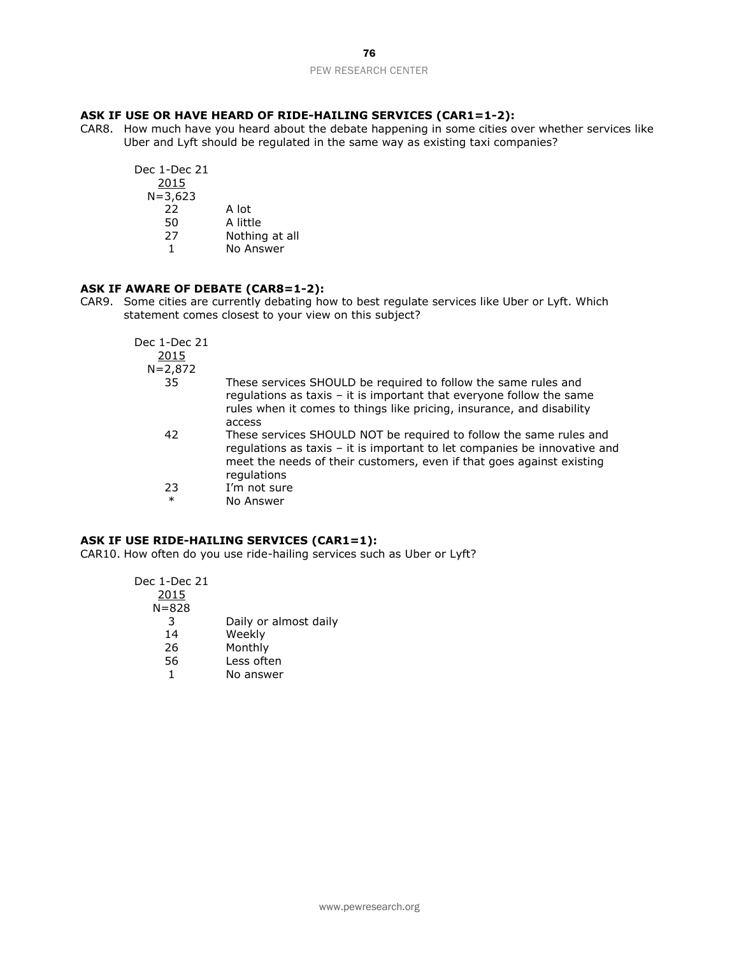## **ASK IF USE OR HAVE HEARD OF RIDE-HAILING SERVICES (CAR1=1-2):**

CAR8. How much have you heard about the debate happening in some cities over whether services like Uber and Lyft should be regulated in the same way as existing taxi companies?

| Dec 1-Dec 21 |                |
|--------------|----------------|
| 2015         |                |
| $N = 3,623$  |                |
| 22           | A lot          |
| 50           | A little       |
| 27           | Nothing at all |
| 1            | No Answer      |

## **ASK IF AWARE OF DEBATE (CAR8=1-2):**

CAR9. Some cities are currently debating how to best regulate services like Uber or Lyft. Which statement comes closest to your view on this subject?

| Dec 1-Dec 21<br>2015 |                                                                                                                                                                                                                                         |
|----------------------|-----------------------------------------------------------------------------------------------------------------------------------------------------------------------------------------------------------------------------------------|
| $N = 2,872$          |                                                                                                                                                                                                                                         |
| 35                   | These services SHOULD be required to follow the same rules and<br>regulations as taxis - it is important that everyone follow the same<br>rules when it comes to things like pricing, insurance, and disability<br>access               |
| 42                   | These services SHOULD NOT be required to follow the same rules and<br>regulations as taxis - it is important to let companies be innovative and<br>meet the needs of their customers, even if that goes against existing<br>regulations |
| 23                   | I'm not sure                                                                                                                                                                                                                            |
| $\ast$               | No Answer                                                                                                                                                                                                                               |

## **ASK IF USE RIDE-HAILING SERVICES (CAR1=1):**

CAR10. How often do you use ride-hailing services such as Uber or Lyft?

| Dec 1-Dec 21 |                       |
|--------------|-----------------------|
| 2015         |                       |
| $N = 828$    |                       |
| 3            | Daily or almost daily |
| 14           | Weekly                |
| 26           | Monthly               |
| 56           | Less often            |
|              | No answer             |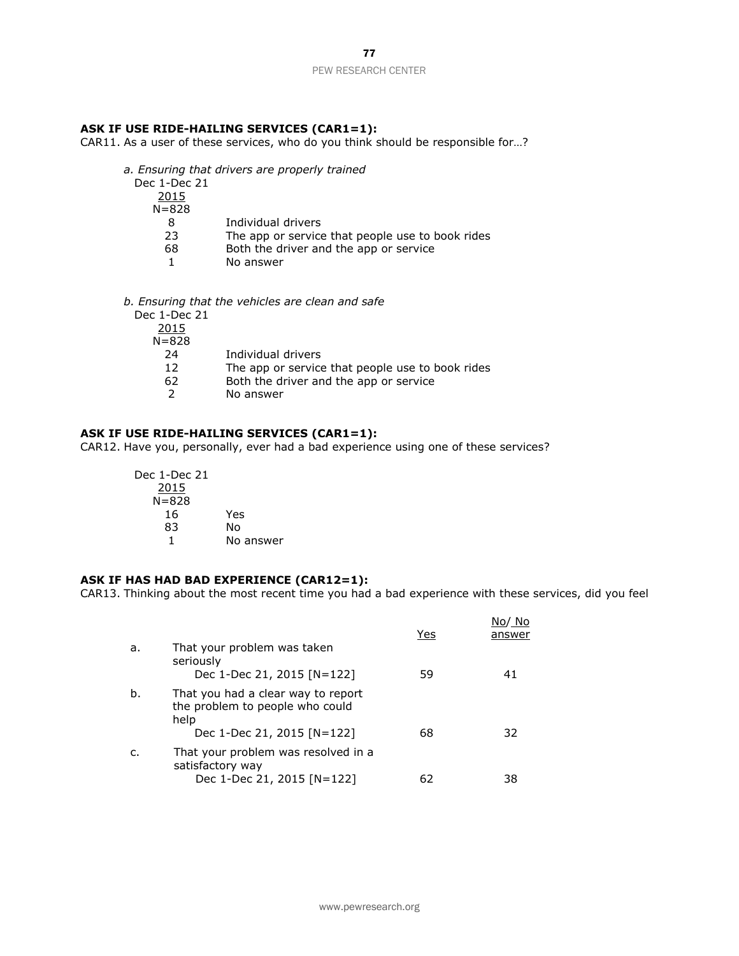#### **ASK IF USE RIDE-HAILING SERVICES (CAR1=1):**

CAR11. As a user of these services, who do you think should be responsible for…?

*a. Ensuring that drivers are properly trained*

| Dec 1-Dec 21 |  |
|--------------|--|
| 2015         |  |
| $N = 828$    |  |
| 8            |  |
| 23           |  |
| r n          |  |

| 8 | Individual drivers |  |
|---|--------------------|--|
|   |                    |  |

- The app or service that people use to book rides
- 68 Both the driver and the app or service
- 1 No answer
- *b. Ensuring that the vehicles are clean and safe* Dec 1-Dec 21

| Individual drivers                               |
|--------------------------------------------------|
| The app or service that people use to book rides |
| Both the driver and the app or service           |
| No answer                                        |
|                                                  |

#### **ASK IF USE RIDE-HAILING SERVICES (CAR1=1):**

CAR12. Have you, personally, ever had a bad experience using one of these services?

| Dec 1-Dec 21 |           |
|--------------|-----------|
| 2015         |           |
| $N = 828$    |           |
| 16           | Yes       |
| 83           | No        |
|              | No answer |

## **ASK IF HAS HAD BAD EXPERIENCE (CAR12=1):**

CAR13. Thinking about the most recent time you had a bad experience with these services, did you feel

|    |                                                                               | Yes | No/ No<br>answer |
|----|-------------------------------------------------------------------------------|-----|------------------|
| a. | That your problem was taken<br>seriously                                      |     |                  |
|    | Dec 1-Dec 21, 2015 [N=122]                                                    | 59  | 41               |
| b. | That you had a clear way to report<br>the problem to people who could<br>help |     |                  |
|    | Dec 1-Dec 21, 2015 [N=122]                                                    | 68  | 32               |
| c. | That your problem was resolved in a<br>satisfactory way                       |     |                  |
|    | Dec 1-Dec 21, 2015 [N=122]                                                    | 62  | 38               |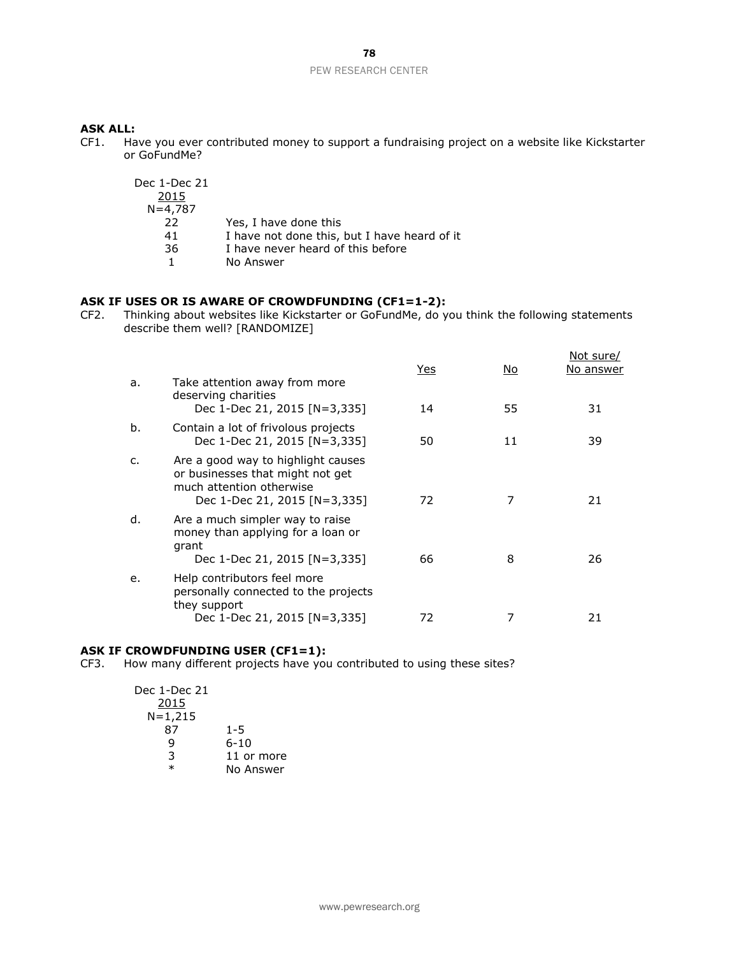#### **ASK ALL:**

CF1. Have you ever contributed money to support a fundraising project on a website like Kickstarter or GoFundMe?

| Dec 1-Dec 21<br>2015 |                                              |
|----------------------|----------------------------------------------|
| $N = 4,787$          |                                              |
| 22                   | Yes, I have done this                        |
| 41                   | I have not done this, but I have heard of it |
| 36                   | I have never heard of this before            |
|                      | No Answer                                    |

## **ASK IF USES OR IS AWARE OF CROWDFUNDING (CF1=1-2):**

CF2. Thinking about websites like Kickstarter or GoFundMe, do you think the following statements describe them well? [RANDOMIZE]

|    |                                                                                                                                    | Yes | No. | Not sure/<br>No answer |
|----|------------------------------------------------------------------------------------------------------------------------------------|-----|-----|------------------------|
| a. | Take attention away from more<br>deserving charities<br>Dec 1-Dec 21, 2015 [N=3,335]                                               | 14  | 55  | 31                     |
| b. | Contain a lot of frivolous projects<br>Dec 1-Dec 21, 2015 [N=3,335]                                                                | 50  | 11  | 39                     |
| c. | Are a good way to highlight causes<br>or businesses that might not get<br>much attention otherwise<br>Dec 1-Dec 21, 2015 [N=3,335] | 72  | 7   | 21                     |
| d. | Are a much simpler way to raise<br>money than applying for a loan or<br>grant<br>Dec 1-Dec 21, 2015 [N=3,335]                      | 66  | 8   | 26                     |
| e. | Help contributors feel more<br>personally connected to the projects<br>they support                                                |     |     |                        |
|    | Dec 1-Dec 21, 2015 [N=3,335]                                                                                                       | 72  | 7   | 21                     |

## **ASK IF CROWDFUNDING USER (CF1=1):**

CF3. How many different projects have you contributed to using these sites?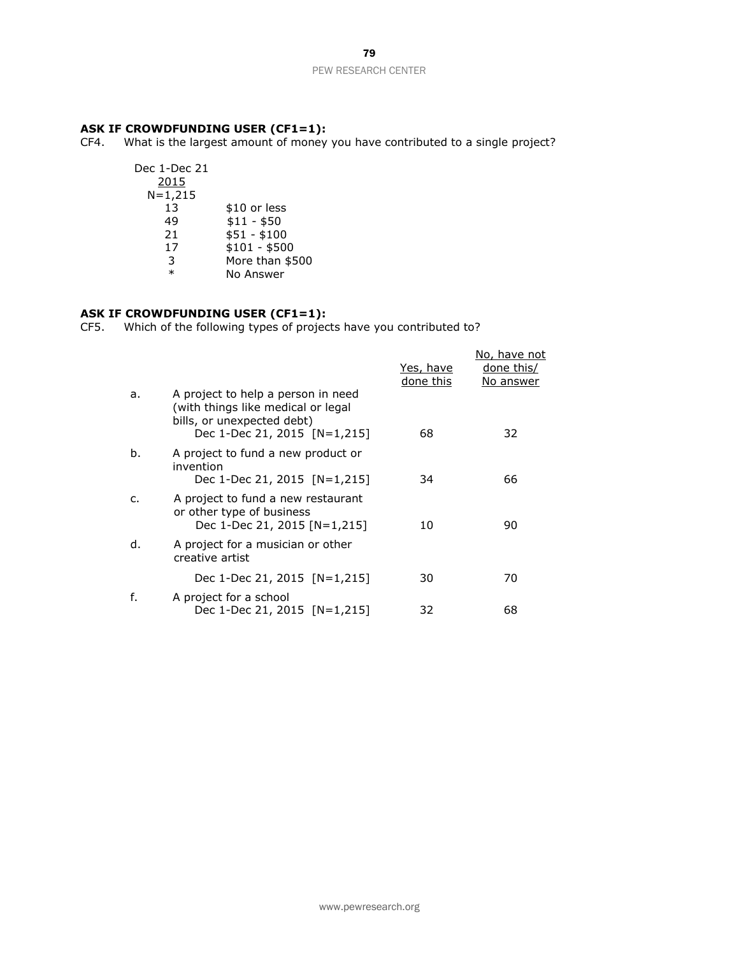#### **ASK IF CROWDFUNDING USER (CF1=1):**

CF4. What is the largest amount of money you have contributed to a single project?

| Dec 1-Dec 21<br>2015 |                 |
|----------------------|-----------------|
| $N = 1,215$          |                 |
| 13                   | \$10 or less    |
| 49                   | $$11 - $50$     |
| 21                   | \$51 - \$100    |
| 17                   | $$101 - $500$   |
| 3                    | More than \$500 |
| $\ast$               | No Answer       |
|                      |                 |

# **ASK IF CROWDFUNDING USER (CF1=1):**

CF5. Which of the following types of projects have you contributed to?

|    |                                                                                                                                        | Yes, have<br>done this | No, have not<br>done this/<br>No answer |
|----|----------------------------------------------------------------------------------------------------------------------------------------|------------------------|-----------------------------------------|
| a. | A project to help a person in need<br>(with things like medical or legal<br>bills, or unexpected debt)<br>Dec 1-Dec 21, 2015 [N=1,215] | 68                     | 32                                      |
| b. | A project to fund a new product or<br>invention<br>Dec 1-Dec 21, 2015 [N=1,215]                                                        | 34                     | 66                                      |
| C. | A project to fund a new restaurant<br>or other type of business<br>Dec 1-Dec 21, 2015 [N=1,215]                                        | 10                     | 90                                      |
| d. | A project for a musician or other<br>creative artist                                                                                   |                        |                                         |
|    | Dec 1-Dec 21, 2015 [N=1,215]                                                                                                           | 30                     | 70                                      |
| f. | A project for a school<br>Dec 1-Dec 21, 2015 [N=1,215]                                                                                 | 32                     | 68                                      |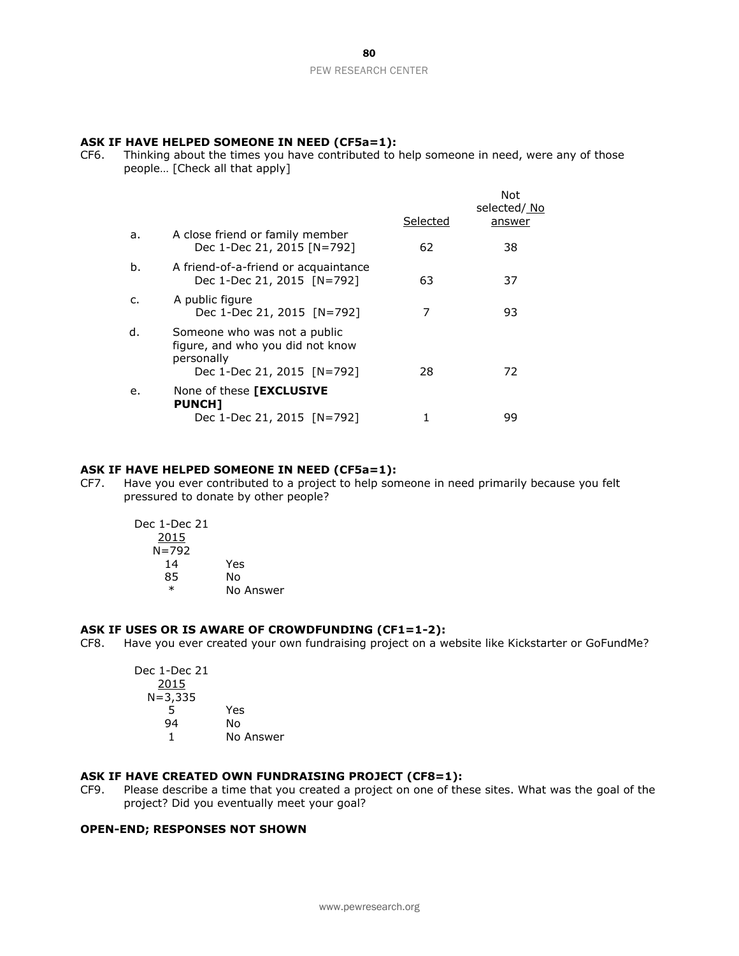#### **ASK IF HAVE HELPED SOMEONE IN NEED (CF5a=1):**

CF6. Thinking about the times you have contributed to help someone in need, were any of those people… [Check all that apply]

|    |                                                                                                              |          | Not<br>selected/ No |
|----|--------------------------------------------------------------------------------------------------------------|----------|---------------------|
|    |                                                                                                              | Selected | answer              |
| a. | A close friend or family member<br>Dec 1-Dec 21, 2015 [N=792]                                                | 62       | 38                  |
| b. | A friend-of-a-friend or acquaintance<br>Dec 1-Dec 21, 2015 [N=792]                                           | 63       | 37                  |
| C. | A public figure<br>Dec 1-Dec 21, 2015 [N=792]                                                                |          | 93                  |
| d. | Someone who was not a public<br>figure, and who you did not know<br>personally<br>Dec 1-Dec 21, 2015 [N=792] | 28       | 72                  |
| e. | None of these <b>[EXCLUSIVE</b><br><b>PUNCH1</b>                                                             |          |                     |
|    | Dec 1-Dec 21, 2015 [N=792]                                                                                   |          | 99                  |

#### **ASK IF HAVE HELPED SOMEONE IN NEED (CF5a=1):**

CF7. Have you ever contributed to a project to help someone in need primarily because you felt pressured to donate by other people?

| Dec 1-Dec 21 |           |
|--------------|-----------|
| 2015         |           |
| N=792        |           |
| 14           | Yes       |
| 85           | N٥        |
| $\ast$       | No Answer |

#### **ASK IF USES OR IS AWARE OF CROWDFUNDING (CF1=1-2):**

CF8. Have you ever created your own fundraising project on a website like Kickstarter or GoFundMe?

| Yes       |
|-----------|
| N٥        |
| No Answer |
|           |

## **ASK IF HAVE CREATED OWN FUNDRAISING PROJECT (CF8=1):**

CF9. Please describe a time that you created a project on one of these sites. What was the goal of the project? Did you eventually meet your goal?

#### **OPEN-END; RESPONSES NOT SHOWN**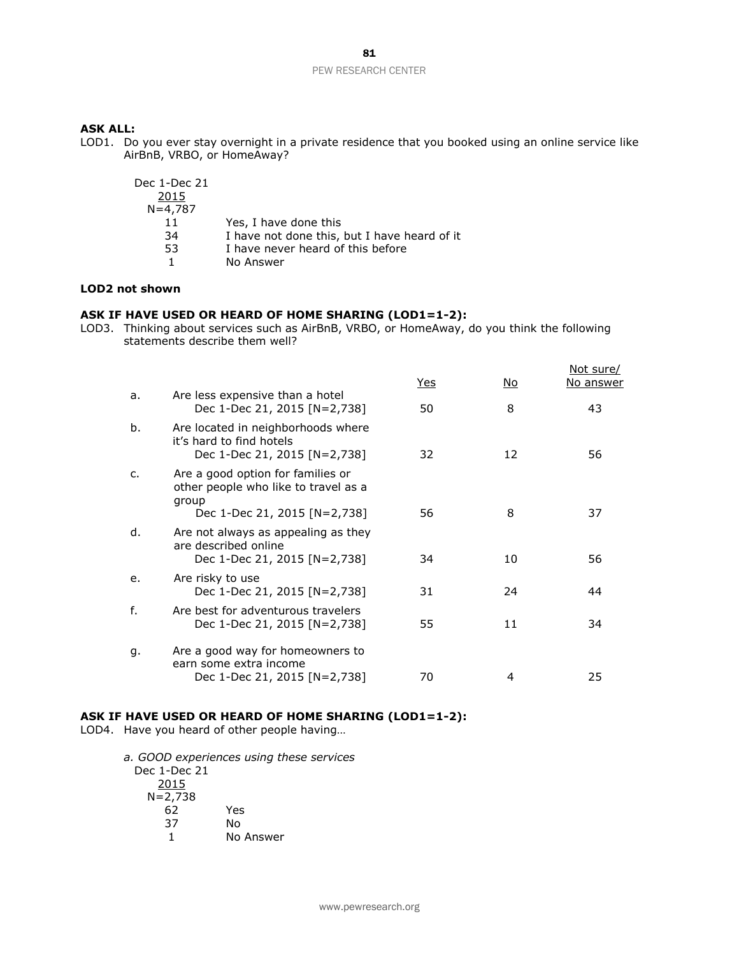#### **ASK ALL:**

LOD1. Do you ever stay overnight in a private residence that you booked using an online service like AirBnB, VRBO, or HomeAway?

| Dec 1-Dec 21<br>2015 |                                              |
|----------------------|----------------------------------------------|
| $N = 4,787$          |                                              |
| 11                   | Yes, I have done this                        |
| 34                   | I have not done this, but I have heard of it |
| 53                   | I have never heard of this before            |
|                      | No Answer                                    |

## **LOD2 not shown**

## **ASK IF HAVE USED OR HEARD OF HOME SHARING (LOD1=1-2):**

LOD3. Thinking about services such as AirBnB, VRBO, or HomeAway, do you think the following statements describe them well?

|              |                                                                                                |     |     | Not sure/        |
|--------------|------------------------------------------------------------------------------------------------|-----|-----|------------------|
|              |                                                                                                | Yes | No. | <u>No answer</u> |
| a.           | Are less expensive than a hotel<br>Dec 1-Dec 21, 2015 [N=2,738]                                | 50  | 8   | 43               |
| b.           | Are located in neighborhoods where<br>it's hard to find hotels<br>Dec 1-Dec 21, 2015 [N=2,738] | 32  | 12  | 56               |
| $\mathsf{C}$ | Are a good option for families or<br>other people who like to travel as a<br>group             |     |     |                  |
|              | Dec 1-Dec 21, 2015 [N=2,738]                                                                   | 56  | 8   | 37               |
| d.           | Are not always as appealing as they<br>are described online<br>Dec 1-Dec 21, 2015 [N=2,738]    | 34  | 10  | 56               |
| e.           | Are risky to use<br>Dec 1-Dec 21, 2015 [N=2,738]                                               | 31  | 24  | 44               |
| f.           | Are best for adventurous travelers<br>Dec 1-Dec 21, 2015 [N=2,738]                             | 55  | 11  | 34               |
| g.           | Are a good way for homeowners to<br>earn some extra income<br>Dec 1-Dec 21, 2015 [N=2,738]     | 70  | 4   | 25               |
|              |                                                                                                |     |     |                  |

## **ASK IF HAVE USED OR HEARD OF HOME SHARING (LOD1=1-2):**

LOD4. Have you heard of other people having…

*a. GOOD experiences using these services* Dec 1-Dec 21 2015 N=2,738 62 Yes 37 No No Answer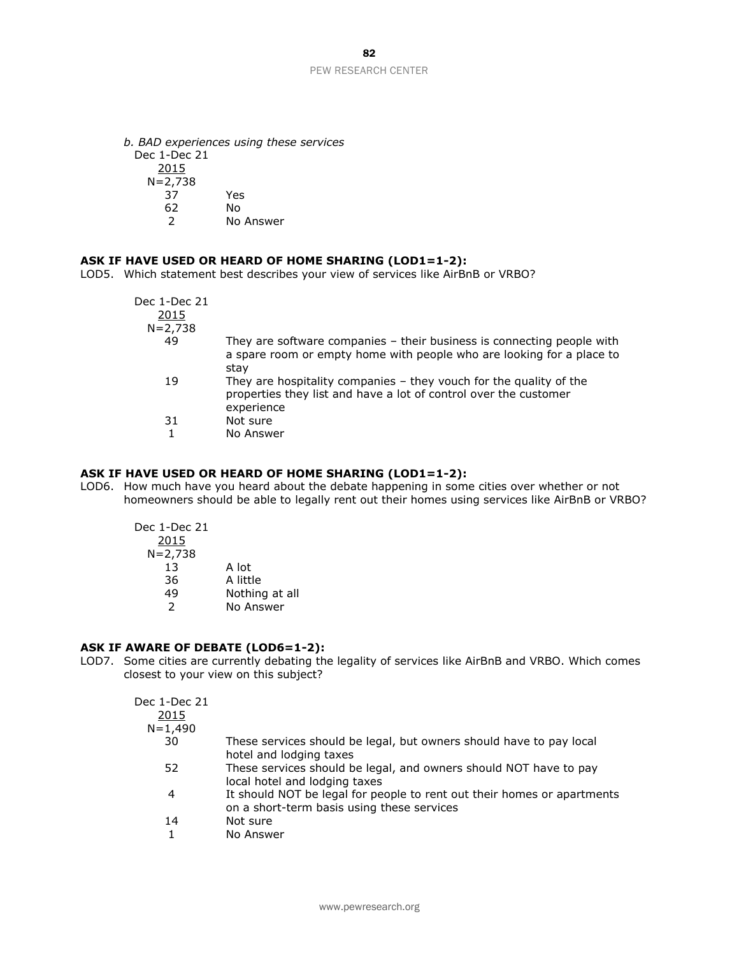*b. BAD experiences using these services* Dec 1-Dec 21 2015  $N=2.738$ 37 Yes 62 No 2 No Answer

#### **ASK IF HAVE USED OR HEARD OF HOME SHARING (LOD1=1-2):**

LOD5. Which statement best describes your view of services like AirBnB or VRBO?

| 2015                                                                                                                                                            |  |
|-----------------------------------------------------------------------------------------------------------------------------------------------------------------|--|
| $N = 2,738$                                                                                                                                                     |  |
| 49<br>They are software companies $-$ their business is connecting people with<br>a spare room or empty home with people who are looking for a place to<br>stay |  |
| They are hospitality companies $-$ they vouch for the quality of the<br>19<br>properties they list and have a lot of control over the customer<br>experience    |  |
| Not sure<br>31                                                                                                                                                  |  |
| No Answer                                                                                                                                                       |  |

## **ASK IF HAVE USED OR HEARD OF HOME SHARING (LOD1=1-2):**

LOD6. How much have you heard about the debate happening in some cities over whether or not homeowners should be able to legally rent out their homes using services like AirBnB or VRBO?

| Dec 1-Dec 21 |                |
|--------------|----------------|
| 2015         |                |
| N=2,738      |                |
| 13           | A lot          |
| 36           | A little       |
| 49           | Nothing at all |
| 2            | No Answer      |
|              |                |

#### **ASK IF AWARE OF DEBATE (LOD6=1-2):**

LOD7. Some cities are currently debating the legality of services like AirBnB and VRBO. Which comes closest to your view on this subject?

| Dec 1-Dec 21 |                                                                                                                       |
|--------------|-----------------------------------------------------------------------------------------------------------------------|
| 2015         |                                                                                                                       |
| $N = 1,490$  |                                                                                                                       |
| 30           | These services should be legal, but owners should have to pay local<br>hotel and lodging taxes                        |
| 52           | These services should be legal, and owners should NOT have to pay<br>local hotel and lodging taxes                    |
| 4            | It should NOT be legal for people to rent out their homes or apartments<br>on a short-term basis using these services |
| 14           | Not sure                                                                                                              |
|              | No Answer                                                                                                             |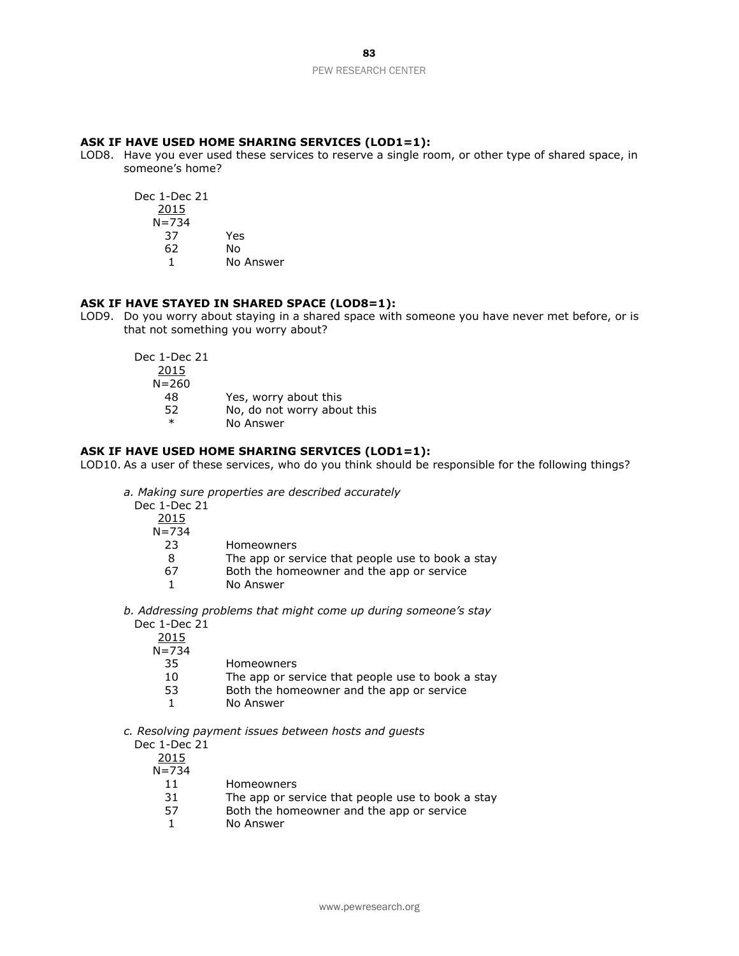#### **ASK IF HAVE USED HOME SHARING SERVICES (LOD1=1):**

LOD8. Have you ever used these services to reserve a single room, or other type of shared space, in someone's home?

Dec 1-Dec 21 2015 N=734 37 Yes 62 No 1 No Answer

#### **ASK IF HAVE STAYED IN SHARED SPACE (LOD8=1):**

LOD9. Do you worry about staying in a shared space with someone you have never met before, or is that not something you worry about?

| Dec 1-Dec 21 |                             |
|--------------|-----------------------------|
| 2015         |                             |
| $N = 260$    |                             |
| 48           | Yes, worry about this       |
| 52.          | No, do not worry about this |
| $\ast$       | No Answer                   |

### **ASK IF HAVE USED HOME SHARING SERVICES (LOD1=1):**

LOD10. As a user of these services, who do you think should be responsible for the following things?

*a. Making sure properties are described accurately*

Dec 1-Dec 21  $\frac{2015}{N}$  $\overline{724}$ 

| 1=134<br>., |  |  |
|-------------|--|--|
|             |  |  |

23 Homeowners

- 8 The app or service that people use to book a stay
- 67 Both the homeowner and the app or service

1 No Answer

*b. Addressing problems that might come up during someone's stay* Dec 1-Dec 21

2015  $N = 734$ <br>35

| 10<br>The app or service that people use to |  |
|---------------------------------------------|--|

book a stay 53 Both the homeowner and the app or service

1 No Answer

*c. Resolving payment issues between hosts and guests*

**Homeowners** 

Dec 1-Dec 21 2015  $N = 734$ 11 Homeowners 31 The app or service that people use to book a stay 57 Both the homeowner and the app or service 1 No Answer